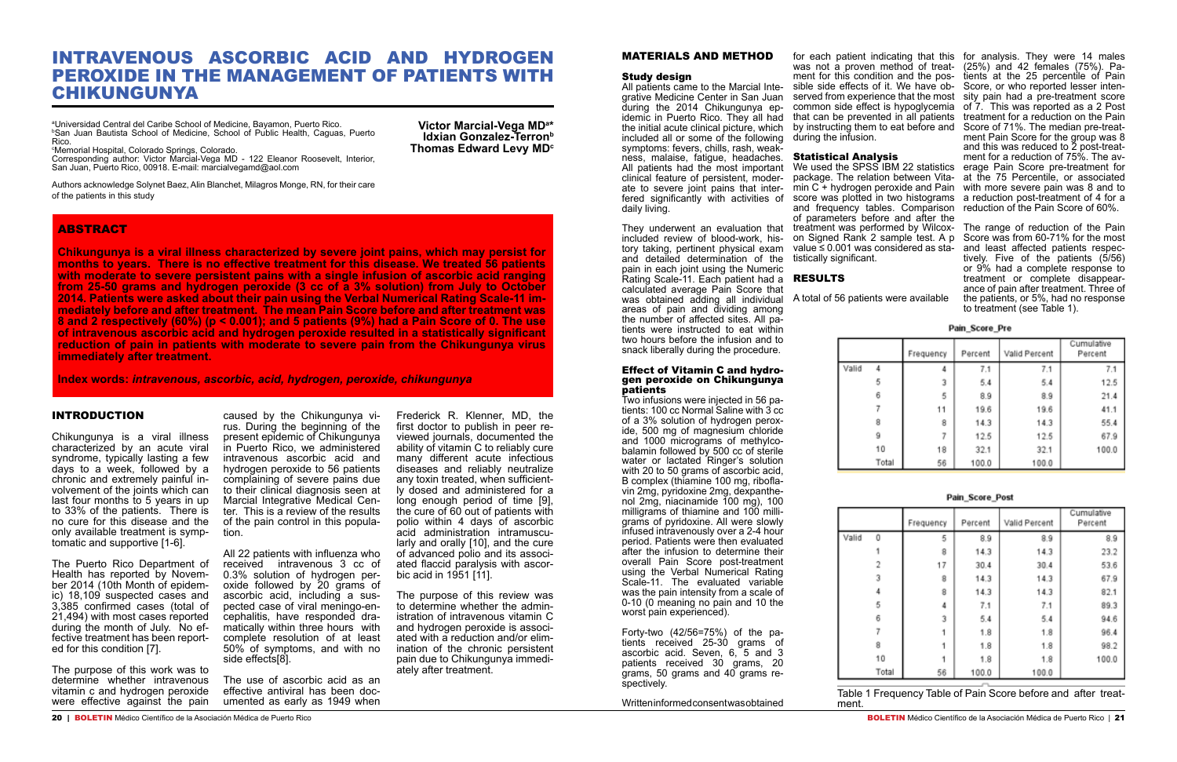**Victor Marcial-Vega MDa \* Idxian Gonzalez-Terron**<sup>b</sup> **Thomas Edward Levy MD<sup>c</sup>** 

# INTRAVENOUS ASCORBIC ACID AND HYDROGEN PEROXIDE IN THE MANAGEMENT OF PATIENTS WITH CHIKUNGUNYA

a Universidad Central del Caribe School of Medicine, Bayamon, Puerto Rico. b San Juan Bautista School of Medicine, School of Public Health, Caguas, Puerto Rico.

c Memorial Hospital, Colorado Springs, Colorado.

Corresponding author: Victor Marcial-Vega MD - 122 Eleanor Roosevelt, Interior, San Juan, Puerto Rico, 00918. E-mail: marcialvegamd@aol.com

Authors acknowledge Solynet Baez, Alin Blanchet, Milagros Monge, RN, for their care of the patients in this study

## **ABSTRACT**

Chikungunya is a viral illness characterized by an acute viral syndrome, typically lasting a few days to a week, followed by a<br>chronic and extremely painful involvement of the joints which can last four months to 5 years in up to 33% of the patients. There is no cure for this disease and the only available treatment is symptomatic and supportive [1-6].

The Puerto Rico Department of<br>Health has reported by November 2014 (10th Month of epidem-<br>ic) 18,109 suspected cases and 3,385 confirmed cases (total of 21,494) with most cases reported fective treatment has been report-<br>ed for this condition [7].

**Chikungunya is a viral illness characterized by severe joint pains, which may persist for months to years. There is no effective treatment for this disease. We treated 56 patients with moderate to severe persistent pains with a single infusion of ascorbic acid ranging from 25-50 grams and hydrogen peroxide (3 cc of a 3% solution) from July to October 2014. Patients were asked about their pain using the Verbal Numerical Rating Scale-11 immediately before and after treatment. The mean Pain Score before and after treatment was 8 and 2 respectively (60%) (p < 0.001); and 5 patients (9%) had a Pain Score of 0. The use of intravenous ascorbic acid and hydrogen peroxide resulted in a statistically significant reduction of pain in patients with moderate to severe pain from the Chikungunya virus immediately after treatment.**

**Index words:** *intravenous, ascorbic, acid, hydrogen, peroxide, chikungunya*

## INTRODUCTION

The purpose of this work was to determine whether intravenous vitamin c and hydrogen peroxide were effective against the pain

caused by the Chikungunya vi- rus. During the beginning of the present epidemic of Chikungunya in Puerto Rico, we administered intravenous ascorbic acid and hydrogen peroxide to 56 patients complaining of severe pains due to their clinical diagnosis seen at Marcial Integrative Medical Center. This is a review of the results of the pain control in this population.

All 22 patients with influenza who received intravenous 3 cc of 0.3% solution of hydrogen peroxide followed by 20 grams of ascorbic acid, including a suspected case of viral meningo-encephalitis, have responded dramatically within three hours with complete resolution of at least 50% of symptoms, and with no side effects[8].

The use of ascorbic acid as an effective antiviral has been documented as early as 1949 when

Frederick R. Klenner, MD, the first doctor to publish in peer reviewed journals, documented the ability of vitamin C to reliably cure many different acute infectious diseases and reliably neutralize any toxin treated, when sufficiently dosed and administered for a long enough period of time [9], the cure of 60 out of patients with polio within 4 days of ascorbic acid administration intramuscularly and orally [10], and the cure of advanced polio and its associated flaccid paralysis with ascorbic acid in 1951 [11].

All patients came to the Marcial Inte- sible side effects of it. We have ob- Score, or who reported lesser intengrative Medicine Center in San Juan served from experience that the most sity pain had a pre-treatment score for each patient indicating that this for analysis. They were 14 males was not a proven method of treat-(25%) and 42 females (75%). Pament for this condition and the poscommon side effect is hypoglycemia of 7. This was reported as a 2 Post that can be prevented in all patients by instructing them to eat before and during the infusion. Statistical Analysis We used the SPSS IBM 22 statistics erage Pain Score pre-treatment for package. The relation between Vita-at the 75 Percentile, or associated min C + hydrogen peroxide and Pain with more severe pain was 8 and to score was plotted in two histograms a reduction post-treatment of 4 for a and frequency tables. Comparison reduction of the Pain Score of 60%. tients at the 25 percentile of Pain treatment for a reduction on the Pain Score of 71%. The median pre-treat ment Pain Score for the group was 8 and this was reduced to 2 post-treatment for a reduction of 75%. The av-

They underwent an evaluation that treatment was performed by Wilcox- The range of reduction of the Pain tively. Five of the patients (5/56) or 9% had a complete response to treatment or complete disappearance of pain after treatment. Three of the patients, or 5%, had no response to treatment (see Table 1).

The purpose of this review was to determine whether the administration of intravenous vitamin C and hydrogen peroxide is associated with a reduction and/or elimination of the chronic persistent pain due to Chikungunya immediately after treatment.

### MATERIALS AND METHOD

#### Study design

during the 2014 Chikungunya ep idemic in Puerto Rico. They all had the initial acute clinical picture, which included all or some of the following symptoms: fevers, chills, rash, weakness, malaise, fatigue, headaches. All patients had the most important clinical feature of persistent, moderate to severe joint pains that interfered significantly with activities of daily living.

included review of blood-work, history taking, pertinent physical exam and detailed determination of the pain in each joint using the Numeric Rating Scale-11. Each patient had a **RESULTS** calculated average Pain Score that was obtained adding all individual areas of pain and dividing among the number of affected sites. All patients were instructed to eat within two hours before the infusion and to snack liberally during the procedure.

#### Effect of Vitamin C and hydrogen peroxide on Chikungunya patients

Two infusions were injected in 56 patients: 100 cc Normal Saline with 3 cc of a 3% solution of hydrogen peroxide, 500 mg of magnesium chloride and 1000 micrograms of methylco balamin followed by 500 cc of sterile water or lactated Ringer's solution with 20 to 50 grams of ascorbic acid, B complex (thiamine 100 mg, riboflavin 2mg, pyridoxine 2mg, dexpanthenol 2mg, niacinamide 100 mg), 100 milligrams of thiamine and 100 milligrams of pyridoxine. All were slowly infused intravenously over a 2-4 hour period. Patients were then evaluated after the infusion to determine their overall Pain Score post-treatment using the Verbal Numerical Rating Scale-11. The evaluated variable was the pain intensity from a scale of 0-10 (0 meaning no pain and 10 the worst pain experienced).

Forty-two (42/56=75%) of the pa tients received 25-30 grams of ascorbic acid. Seven, 6, 5 and 3 patients received 30 grams, 20 grams, 50 grams and 40 grams respectively.

Written informed consent was obtained

of parameters before and after the on Signed Rank 2 sample test. A p Score was from 60-71% for the most value ≤ 0.001 was considered as sta- and least affected patients respectistically significant.

Valid



Valid



A total of 56 patients were available

|       | Frequency | Percent | Valid Percent | Cumulative<br>Percent |
|-------|-----------|---------|---------------|-----------------------|
|       |           | 7.1     | 7.1           | 7.1                   |
| 5     | з         | 5.4     | 5.4           | 12.5                  |
| 6     | 5         | 8.9     | 8.9           | 21.4                  |
|       | 11        | 19.6    | 19.6          | 41.1                  |
| 8     | 8         | 14.3    | 14.3          | 55.4                  |
| 9     |           | 12.5    | 12.5          | 67.9                  |
| 10    | 18        | 32.1    | 32.1          | 100.0                 |
| Total | 56        | 100.0   | 100.0         |                       |

Pain\_Score\_Pre

Pain\_Score\_Post

|       | Frequency | Percent | Valid Percent | Cumulative<br>Percent |
|-------|-----------|---------|---------------|-----------------------|
| 0     | 5         | 8.9     | 8.9           | 8.9                   |
|       | 8         | 14.3    | 14.3          | 23.2                  |
| 2     | 17        | 30.4    | 30.4          | 53.6                  |
| 3     | 8         | 14.3    | 14.3          | 67.9                  |
| 4     | 8         | 14.3    | 14.3          | 82.1                  |
| 5     | 4         | 7.1     | 7.1           | 89.3                  |
| 6     | 3         | 5.4     | 5.4           | 94.6                  |
|       |           | 1.8     | 1.8           | 96.4                  |
| 8     |           | 1.8     | 1.8           | 98.2                  |
| 10    |           | 1.8     | 1.8           | 100.0                 |
| Total | 56        | 100.0   | 100.0         |                       |

Table 1 Frequency Table of Pain Score before and after treat- ment.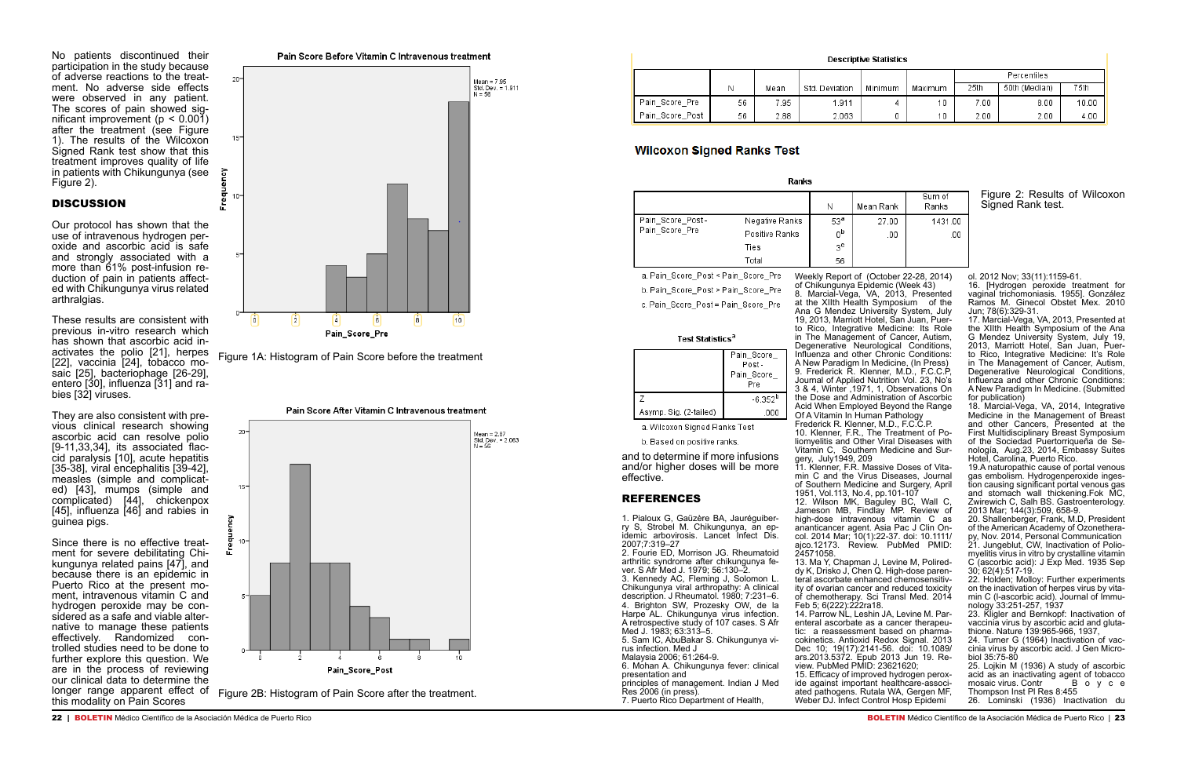Figure 1A: Histogram of Pain Score before the treatment

Pain Score After Vitamin C Intravenous treatment



longer range apparent effect of Figure 2B: Histogram of Pain Score after the treatment.<br>this modality on Pain Scores

|                 |    |      |                |         |         | Percentiles |               |       |
|-----------------|----|------|----------------|---------|---------|-------------|---------------|-------|
|                 | Ν  | Mean | Std. Deviation | Minimum | Maximum | 25th        | 50th (Median) | 75th  |
| Pain Score Pre  | 56 | 7.95 | 911. ا         |         | 10      | 7.00        | 8.00          | 10.00 |
| Pain Score Post | 56 | 2.88 | 2.063          |         | 10      | 2.00        | 2.00          | 4.00  |

## **Wilcoxon Signed Ranks Test**

| Ranks            |                |                 |           |                 |  |
|------------------|----------------|-----------------|-----------|-----------------|--|
|                  |                | Ν               | Mean Rank | Sum of<br>Ranks |  |
| Pain_Score_Post- | Negative Ranks | 53 <sup>a</sup> | 27.00     | 1431.00         |  |
| Pain_Score_Pre   | Positive Ranks | 0b              | .00       | .00             |  |
|                  | Ties           | 3c              |           |                 |  |
|                  | Total          | 56              |           |                 |  |

a. Pain\_Score\_Post < Pain\_Score\_Pre b. Pain\_Score\_Post > Pain\_Score\_Pre

c. Pain\_Score\_Post = Pain\_Score\_Pre

#### Test Statistics<sup>a</sup>

|                        | Pain_Score_<br>Post- |
|------------------------|----------------------|
|                        | Pain_Score_<br>Pre   |
|                        | $-6.352^{b}$         |
| Asymp. Sig. (2-tailed) |                      |

a. Wilcoxon Signed Ranks Test

b. Based on positive ranks.

No patients discontinued their participation in the study because of adverse reactions to the treatment. No adverse side effects were observed in any patient. The scores of pain showed significant improvement ( $p < 0.001$ ) after the treatment (see Figure 1). The results of the Wilcoxon Signed Rank test show that this treatment improves quality of life in patients with Chikungunya (see Figure 2).

## **DISCUSSION**

Our protocol has shown that the use of intravenous hydrogen peroxide and ascorbic acid is safe and strongly associated with a more than 61% post-infusion reduction of pain in patients affect-<br>ed with Chikungunya virus related arthralgias.

These results are consistent with previous in-vitro research which<br>has shown that ascorbic acid inactivates the polio [21], herpes [22], vaccinia [24], tobacco mo-[22], vaccinia [24], tobacco mo-<br>saic [25], bacteriophage [26-29], entero [30], influenza [31] and ra-<br>bies [32] viruses.

They are also consistent with pre- vious clinical research showing ascorbic acid can resolve polio<br>[9-11,33,34], its associated flaccid paralysis [10], acute hepatitis [35-38], viral encephalitis [39-42], measles (simple and complicated) [43], mumps (simple and complicated) [44], chickenpox [45], influenza [46] and rabies in guinea pigs.

Since there is no effective treat- ment for severe debilitating Chi- kungunya related pains [47], and because there is an epidemic in<br>Puerto Rico at the present moment, intravenous vitamin C and hydrogen peroxide may be con- sidered as a safe and viable alternative to manage these patients effectively. Randomized controlled studies need to be done to further explore this question. We are in the process of reviewing our clinical data to determine the



#### Figure 2: Results of Wilcoxon Signed Rank test.

and to determine if more infusions and/or higher doses will be more effective.

### REFERENCES

14. Parrow NL, Leshin JA, Levine M. Parenteral ascorbate as a cancer therapeutic: a reassessment based on pharmacokinetics. Antioxid Redox Signal. 2013 Dec 10; 19(17):2141-56. doi: 10.1089/ ars.2013.5372. Epub 2013 Jun 19. Review. PubMed PMID: 23621620; 15. Efficacy of improved hydrogen peroxide against important healthcare-associated pathogens. Rutala WA, Gergen MF, Weber DJ. Infect Control Hosp Epidemi

1. Pialoux G, Gaüzère BA, Jauréguiberry S, Strobel M. Chikungunya, an epidemic arbovirosis. Lancet Infect Dis. 2007;7:319–27

2. Fourie ED, Morrison JG. Rheumatoid ver. S Afr Med J. 1979; 56:130–2. 3. Kennedy AC, Fleming J, Solomon L.

16. [Hydrogen peroxide treatment for vaginal trichomoniasis. 1955]. González Ramos M. Ginecol Obstet Mex. 2010 Jun; 78(6):329-31.

Chikungunya viral arthropathy: A clinical description. J Rheumatol. 1980; 7:231–6. 4. Brighton SW, Prozesky OW, de la Harpe AL. Chikungunya virus infection. A retrospective study of 107 cases. S Afr Med J. 1983; 63:313–5.

5. Sam IC, AbuBakar S. Chikungunya virus infection. Med J

Malaysia 2006; 61:264-9. 6. Mohan A. Chikungunya fever: clinical

presentation and

principles of management. Indian J Med Res 2006 (in press).

7. Puerto Rico Department of Health,

23. Kligler and Bernkopf: Inactivation of vaccinia virus by ascorbic acid and glutathione. Nature 139:965-966, 1937,

Weekly Report of (October 22-28, 2014) of Chikungunya Epidemic (Week 43) 8. Marcial-Vega, VA, 2013, Presented at the XIIth Health Symposium of the Ana G Mendez University System, July 19, 2013, Marriott Hotel, San Juan, Puerto Rico, Integrative Medicine: Its Role in The Management of Cancer, Autism, Degenerative Neurological Conditions, Influenza and other Chronic Conditions: A New Paradigm In Medicine, (In Press) 9. Frederick R. Klenner, M.D., F.C.C.P, Journal of Applied Nutrition Vol. 23, No's 3 & 4, Winter ,1971, 1, Observations On the Dose and Administration of Ascorbic Acid When Employed Beyond the Range Of A Vitamin In Human Pathology Frederick R. Klenner, M.D., F.C.C.P. 10. Klenner, F.R., The Treatment of Poliomyelitis and Other Viral Diseases with Vitamin C, Southern Medicine and Surgery, July1949, 209 11. Klenner, F.R. Massive Doses of Vitamin C and the Virus Diseases, Journal of Southern Medicine and Surgery, April 1951, Vol.113, No.4, pp.101-107 12. Wilson MK, Baguley BC, Wall C, Jameson MB, Findlay MP. Review of high-dose intravenous vitamin C as ananticancer agent. Asia Pac J Clin Oncol. 2014 Mar; 10(1):22-37. doi: 10.1111/ ajco.12173. Review. PubMed PMID: 24571058. 13. Ma Y, Chapman J, Levine M, Polireddy K, Drisko J, Chen Q. High-dose parenteral ascorbate enhanced chemosensitivity of ovarian cancer and reduced toxicity of chemotherapy. Sci Transl Med. 2014 Feb 5; 6(222):222ra18.

ol. 2012 Nov; 33(11):1159-61.

17. Marcial-Vega, VA, 2013, Presented at the XIIth Health Symposium of the Ana G Mendez University System, July 19, 2013, Marriott Hotel, San Juan, Puerto Rico, Integrative Medicine: It's Role in The Management of Cancer, Autism, Degenerative Neurological Conditions, Influenza and other Chronic Conditions: A New Paradigm In Medicine. (Submitted for publication)

18. Marcial-Vega, VA, 2014, Integrative Medicine in the Management of Breast and other Cancers, Presented at the First Multidisciplinary Breast Symposium of the Sociedad Puertorriqueña de Senología, Aug.23, 2014, Embassy Suites Hotel, Carolina, Puerto Rico.

19.A naturopathic cause of portal venous gas embolism. Hydrogenperoxide inges- tion causing significant portal venous gas and stomach wall thickening.Fok MC, Zwirewich C, Salh BS. Gastroenterology. 2013 Mar; 144(3):509, 658-9.

20. Shallenberger, Frank, M.D, President of the American Academy of Ozonetherapy, Nov. 2014, Personal Communication

21. Jungeblut, CW, Inactivation of Poliomyelitis virus in vitro by crystalline vitamin C (ascorbic acid): J Exp Med. 1935 Sep 30; 62(4):517-19.

22. Holden; Molloy: Further experiments on the inactivation of herpes virus by vitamin C (l-ascorbic acid). Journal of Immunology 33:251-257, 1937

24. Turner G (1964) Inactivation of vaccinia virus by ascorbic acid. J Gen Microbiol 35:75-80

25. Lojkin M (1936) A study of ascorbic acid as an inactivating agent of tobacco<br>mosaic virus. Contr B o y c e mosaic virus. Contr Thompson Inst Pl Res 8:455 26. Lominski (1936) Inactivation du